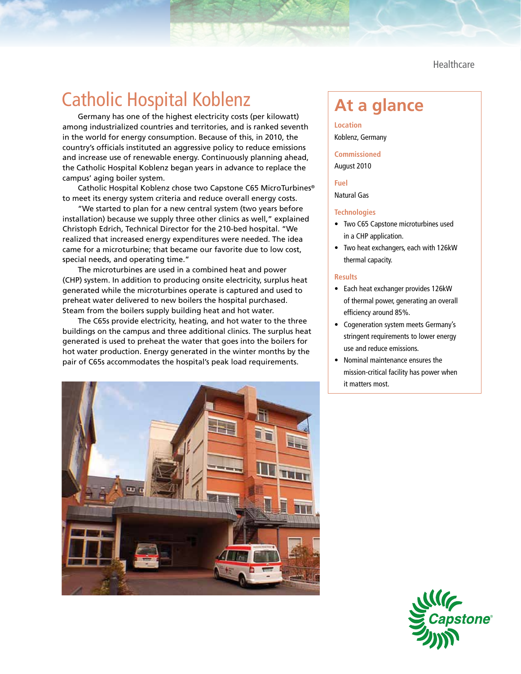**Healthcare** 

## **Catholic Hospital Koblenz Take At a glance**

Germany has one of the highest electricity costs (per kilowatt) among industrialized countries and territories, and is ranked seventh in the world for energy consumption. Because of this, in 2010, the country's officials instituted an aggressive policy to reduce emissions and increase use of renewable energy. Continuously planning ahead, the Catholic Hospital Koblenz began years in advance to replace the campus' aging boiler system.

Catholic Hospital Koblenz chose two Capstone C65 MicroTurbines® to meet its energy system criteria and reduce overall energy costs.

"We started to plan for a new central system (two years before installation) because we supply three other clinics as well," explained Christoph Edrich, Technical Director for the 210-bed hospital. "We realized that increased energy expenditures were needed. The idea came for a microturbine; that became our favorite due to low cost, special needs, and operating time."

The microturbines are used in a combined heat and power (CHP) system. In addition to producing onsite electricity, surplus heat generated while the microturbines operate is captured and used to preheat water delivered to new boilers the hospital purchased. Steam from the boilers supply building heat and hot water.

The C65s provide electricity, heating, and hot water to the three buildings on the campus and three additional clinics. The surplus heat generated is used to preheat the water that goes into the boilers for hot water production. Energy generated in the winter months by the pair of C65s accommodates the hospital's peak load requirements.



**Location** Koblenz, Germany

**Commissioned** August 2010

**Fuel**

Natural Gas

## **Technologies**

- • Two C65 Capstone microturbines used in a CHP application.
- • Two heat exchangers, each with 126kW thermal capacity.

## **Results**

- • Each heat exchanger provides 126kW of thermal power, generating an overall efficiency around 85%.
- • Cogeneration system meets Germany's stringent requirements to lower energy use and reduce emissions.
- • Nominal maintenance ensures the mission-critical facility has power when it matters most.